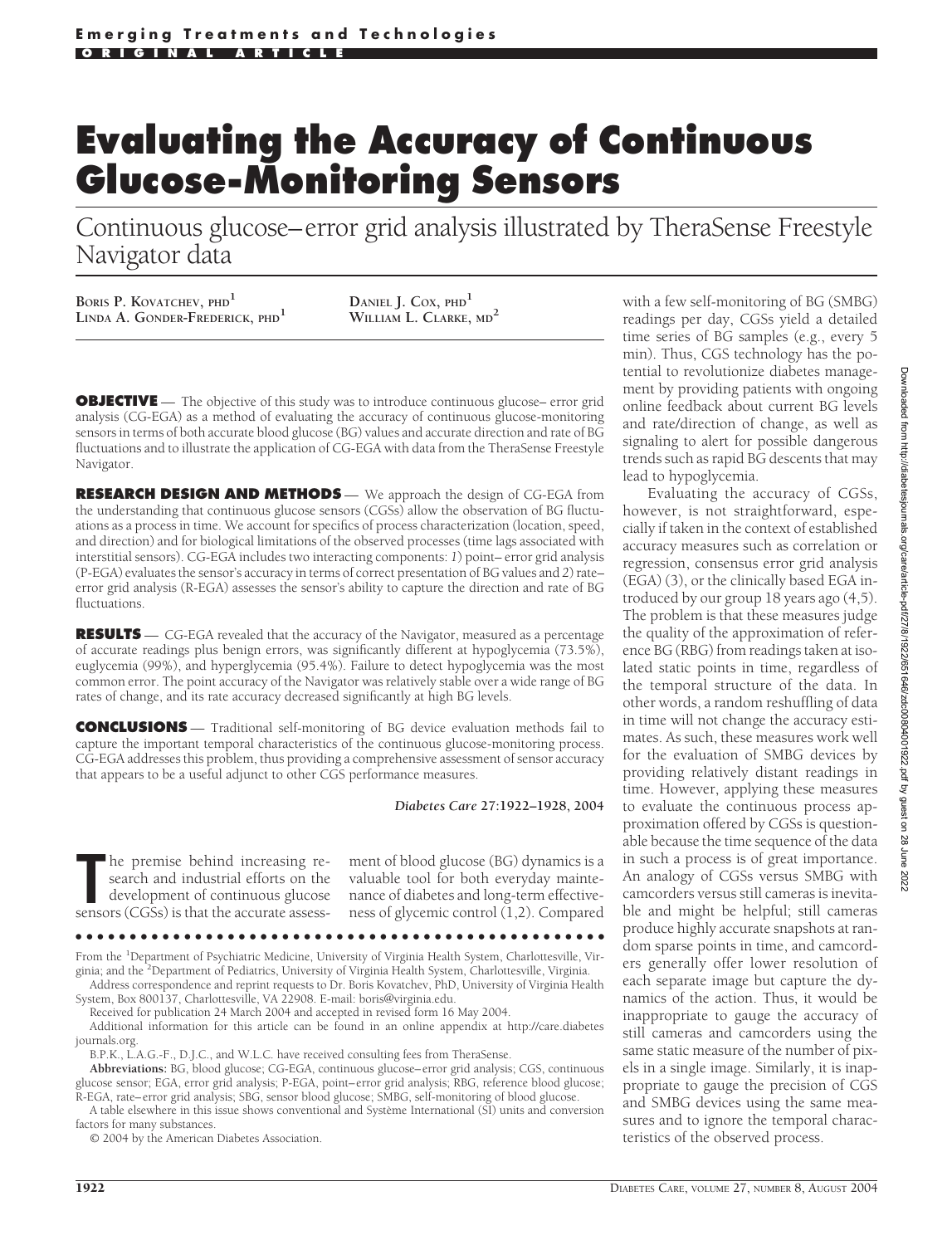# **Evaluating the Accuracy of Continuous Glucose-Monitoring Sensors**

Continuous glucose–error grid analysis illustrated by TheraSense Freestyle Navigator data

**BORIS P. KOVATCHEV, PHD<sup>1</sup> LINDA A. GONDER-FREDERICK, PHD<sup>1</sup> DANIEL J. COX, PHD<sup>1</sup>**

**WILLIAM L. CLARKE, MD<sup>2</sup>**

**OBJECTIVE** — The objective of this study was to introduce continuous glucose– error grid analysis (CG-EGA) as a method of evaluating the accuracy of continuous glucose-monitoring sensors in terms of both accurate blood glucose (BG) values and accurate direction and rate of BG fluctuations and to illustrate the application of CG-EGA with data from the TheraSense Freestyle Navigator.

**RESEARCH DESIGN AND METHODS** — We approach the design of CG-EGA from the understanding that continuous glucose sensors (CGSs) allow the observation of BG fluctuations as a process in time. We account for specifics of process characterization (location, speed, and direction) and for biological limitations of the observed processes (time lags associated with interstitial sensors). CG-EGA includes two interacting components: *1*) point– error grid analysis (P-EGA) evaluates the sensor's accuracy in terms of correct presentation of BG values and *2*) rate– error grid analysis (R-EGA) assesses the sensor's ability to capture the direction and rate of BG fluctuations.

**RESULTS** — CG-EGA revealed that the accuracy of the Navigator, measured as a percentage of accurate readings plus benign errors, was significantly different at hypoglycemia (73.5%), euglycemia (99%), and hyperglycemia (95.4%). Failure to detect hypoglycemia was the most common error. The point accuracy of the Navigator was relatively stable over a wide range of BG rates of change, and its rate accuracy decreased significantly at high BG levels.

**CONCLUSIONS** — Traditional self-monitoring of BG device evaluation methods fail to capture the important temporal characteristics of the continuous glucose-monitoring process. CG-EGA addresses this problem, thus providing a comprehensive assessment of sensor accuracy that appears to be a useful adjunct to other CGS performance measures.

*Diabetes Care* **27:1922–1928, 2004**

The premise behind increasing research and industrial efforts on the development of continuous glucose sensors (CGSs) is that the accurate assesshe premise behind increasing research and industrial efforts on the development of continuous glucose ment of blood glucose (BG) dynamics is a valuable tool for both everyday maintenance of diabetes and long-term effectiveness of glycemic control (1,2). Compared

●●●●●●●●●●●●●●●●●●●●●●●●●●●●●●●●●●●●●●●●●●●●●●●●●

From the <sup>1</sup>Department of Psychiatric Medicine, University of Virginia Health System, Charlottesville, Virginia; and the <sup>2</sup>Department of Pediatrics, University of Virginia Health System, Charlottesville, Virginia. Address correspondence and reprint requests to Dr. Boris Kovatchev, PhD, University of Virginia Health

System, Box 800137, Charlottesville, VA 22908. E-mail: boris@virginia.edu. Received for publication 24 March 2004 and accepted in revised form 16 May 2004.

Additional information for this article can be found in an online appendix at http://care.diabetes journals.org.

B.P.K., L.A.G.-F., D.J.C., and W.L.C. have received consulting fees from TheraSense.

**Abbreviations:** BG, blood glucose; CG-EGA, continuous glucose–error grid analysis; CGS, continuous

glucose sensor; EGA, error grid analysis; P-EGA, point–error grid analysis; RBG, reference blood glucose; R-EGA, rate–error grid analysis; SBG, sensor blood glucose; SMBG, self-monitoring of blood glucose.

A table elsewhere in this issue shows conventional and Système International (SI) units and conversion factors for many substances.

© 2004 by the American Diabetes Association.

with a few self-monitoring of BG (SMBG) readings per day, CGSs yield a detailed time series of BG samples (e.g., every 5 min). Thus, CGS technology has the potential to revolutionize diabetes management by providing patients with ongoing online feedback about current BG levels and rate/direction of change, as well as signaling to alert for possible dangerous trends such as rapid BG descents that may lead to hypoglycemia.

Evaluating the accuracy of CGSs, however, is not straightforward, especially if taken in the context of established accuracy measures such as correlation or regression, consensus error grid analysis (EGA) (3), or the clinically based EGA introduced by our group 18 years ago (4,5). The problem is that these measures judge the quality of the approximation of reference BG (RBG) from readings taken at isolated static points in time, regardless of the temporal structure of the data. In other words, a random reshuffling of data in time will not change the accuracy estimates. As such, these measures work well for the evaluation of SMBG devices by providing relatively distant readings in time. However, applying these measures to evaluate the continuous process approximation offered by CGSs is questionable because the time sequence of the data in such a process is of great importance. An analogy of CGSs versus SMBG with camcorders versus still cameras is inevitable and might be helpful; still cameras produce highly accurate snapshots at random sparse points in time, and camcorders generally offer lower resolution of each separate image but capture the dynamics of the action. Thus, it would be inappropriate to gauge the accuracy of still cameras and camcorders using the same static measure of the number of pixels in a single image. Similarly, it is inappropriate to gauge the precision of CGS and SMBG devices using the same measures and to ignore the temporal characteristics of the observed process.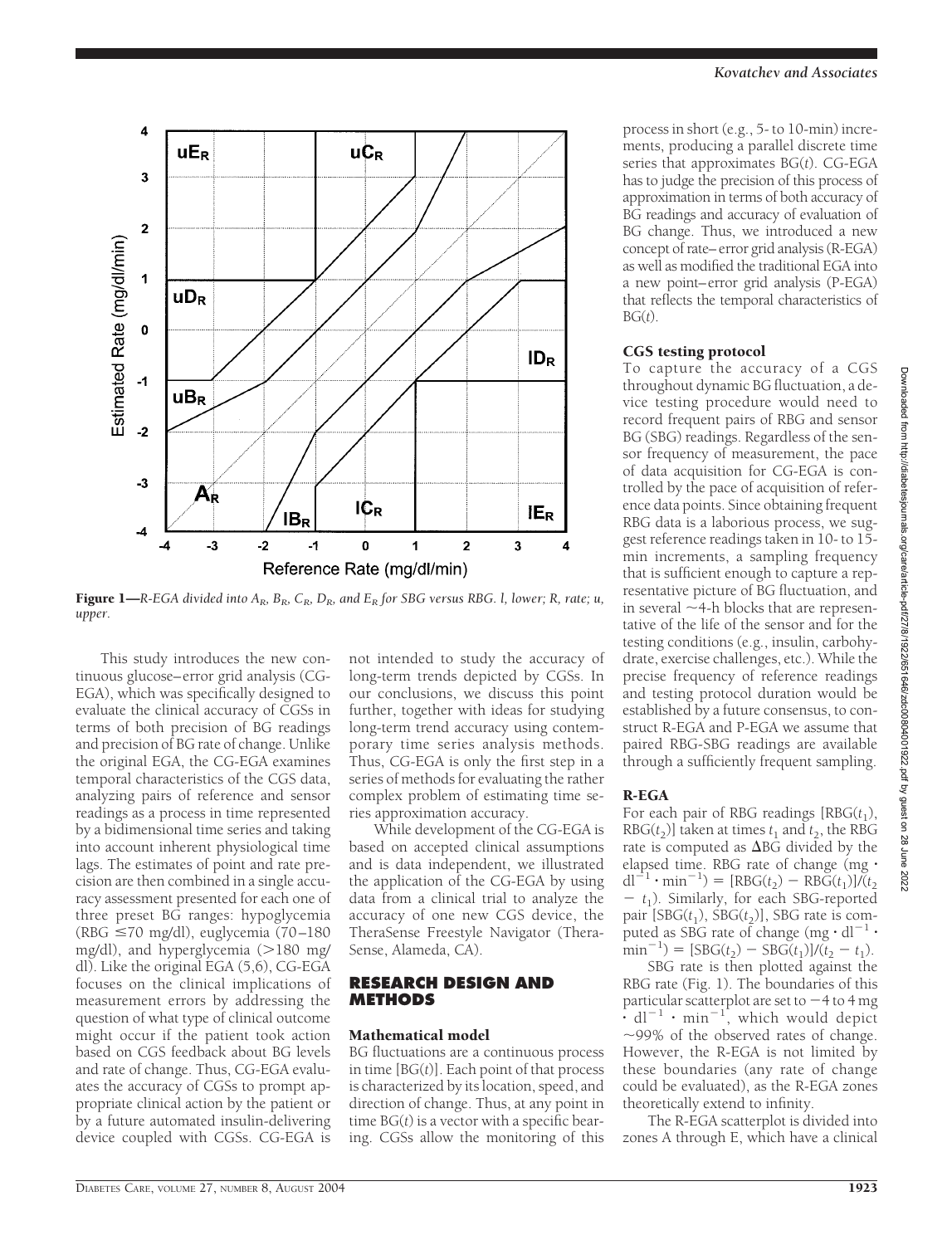

Figure 1—R-EGA divided into  $A_R$ ,  $B_R$ ,  $C_R$ ,  $D_R$ , and  $E_R$  for SBG versus RBG. l, lower; R, rate; u, *upper.*

This study introduces the new continuous glucose–error grid analysis (CG-EGA), which was specifically designed to evaluate the clinical accuracy of CGSs in terms of both precision of BG readings and precision of BG rate of change. Unlike the original EGA, the CG-EGA examines temporal characteristics of the CGS data, analyzing pairs of reference and sensor readings as a process in time represented by a bidimensional time series and taking into account inherent physiological time lags. The estimates of point and rate precision are then combined in a single accuracy assessment presented for each one of three preset BG ranges: hypoglycemia (RBG  $\leq$ 70 mg/dl), euglycemia (70–180 mg/dl), and hyperglycemia  $(>180$  mg/ dl). Like the original EGA (5,6), CG-EGA focuses on the clinical implications of measurement errors by addressing the question of what type of clinical outcome might occur if the patient took action based on CGS feedback about BG levels and rate of change. Thus, CG-EGA evaluates the accuracy of CGSs to prompt appropriate clinical action by the patient or by a future automated insulin-delivering device coupled with CGSs. CG-EGA is

not intended to study the accuracy of long-term trends depicted by CGSs. In our conclusions, we discuss this point further, together with ideas for studying long-term trend accuracy using contemporary time series analysis methods. Thus, CG-EGA is only the first step in a series of methods for evaluating the rather complex problem of estimating time series approximation accuracy.

While development of the CG-EGA is based on accepted clinical assumptions and is data independent, we illustrated the application of the CG-EGA by using data from a clinical trial to analyze the accuracy of one new CGS device, the TheraSense Freestyle Navigator (Thera-Sense, Alameda, CA).

## **RESEARCH DESIGN AND METHODS**

## Mathematical model

BG fluctuations are a continuous process in time [BG(*t*)]. Each point of that process is characterized by its location, speed, and direction of change. Thus, at any point in time BG(*t*) is a vector with a specific bearing. CGSs allow the monitoring of this

process in short (e.g., 5- to 10-min) increments, producing a parallel discrete time series that approximates BG(*t*). CG-EGA has to judge the precision of this process of approximation in terms of both accuracy of BG readings and accuracy of evaluation of BG change. Thus, we introduced a new concept of rate– error grid analysis (R-EGA) as well as modified the traditional EGA into a new point–error grid analysis (P-EGA) that reflects the temporal characteristics of BG(*t*).

#### CGS testing protocol

To capture the accuracy of a CGS throughout dynamic BG fluctuation, a device testing procedure would need to record frequent pairs of RBG and sensor BG (SBG) readings. Regardless of the sensor frequency of measurement, the pace of data acquisition for CG-EGA is controlled by the pace of acquisition of reference data points. Since obtaining frequent RBG data is a laborious process, we suggest reference readings taken in 10- to 15 min increments, a sampling frequency that is sufficient enough to capture a representative picture of BG fluctuation, and in several  $\sim$ 4-h blocks that are representative of the life of the sensor and for the testing conditions (e.g., insulin, carbohydrate, exercise challenges, etc.). While the precise frequency of reference readings and testing protocol duration would be established by a future consensus, to construct R-EGA and P-EGA we assume that paired RBG-SBG readings are available through a sufficiently frequent sampling.

## R-EGA

For each pair of RBG readings  $[RBG(t_1)]$ , RBG( $t_2$ )] taken at times  $t_1$  and  $t_2$ , the RBG rate is computed as  $\Delta BG$  divided by the elapsed time. RBG rate of change (mg  $dl^{-1} \cdot min^{-1}$ ) = [RBG(*t*<sub>2</sub>) – RBG(*t*<sub>1</sub>)]/(*t*<sub>2</sub>) *t*1). Similarly, for each SBG-reported pair  $[SBG(t_1), SBG(t_2)]$ , SBG rate is computed as SBG rate of change  $(mg \cdot dl^{-1} \cdot dl^{-1})$  $\min^{-1}$ ) = [SBG( $t_2$ ) – SBG( $t_1$ )]/( $t_2$  –  $t_1$ ).

SBG rate is then plotted against the RBG rate (Fig. 1). The boundaries of this particular scatterplot are set to  $-4$  to  $4$  mg  $\cdot$  dl<sup>-1</sup>  $\cdot$  min<sup>-1</sup>, which would depict ~99% of the observed rates of change. However, the R-EGA is not limited by these boundaries (any rate of change could be evaluated), as the R-EGA zones theoretically extend to infinity.

The R-EGA scatterplot is divided into zones A through E, which have a clinical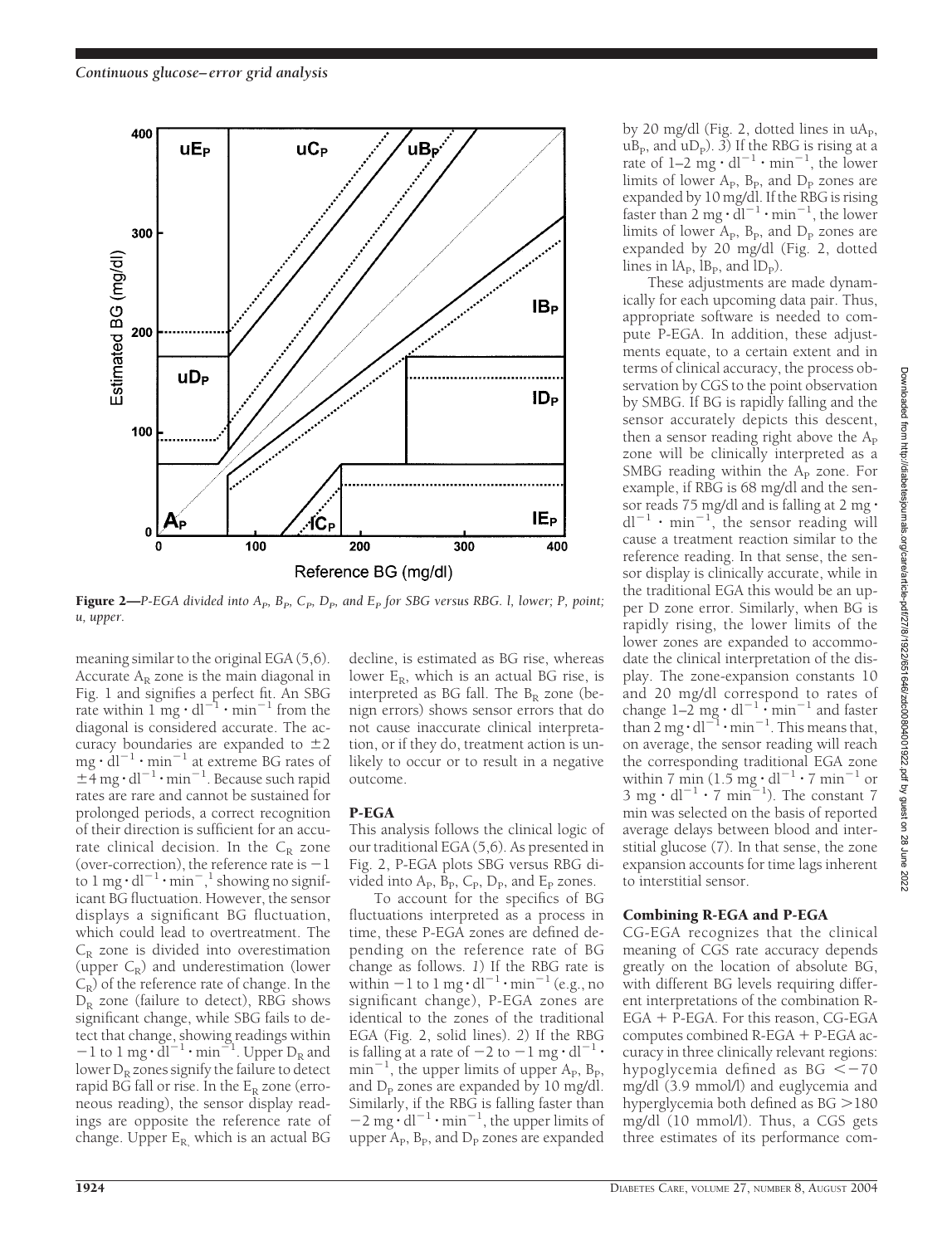

**Figure 2—***P-EGA divided into A<sub>P</sub>, B<sub>P</sub>, C<sub>P</sub>, D<sub>P</sub>, and E<sub>P</sub> for SBG versus RBG. l, lower; P, point; u, upper.*

meaning similar to the original EGA (5,6). Accurate  $A_R$  zone is the main diagonal in Fig. 1 and signifies a perfect fit. An SBG rate within  $1 \text{ mg} \cdot \text{dl}^{-1} \cdot \text{min}^{-1}$  from the diagonal is considered accurate. The accuracy boundaries are expanded to  $\pm 2$  $mg \cdot d l^{-1} \cdot min^{-1}$  at extreme BG rates of  $\pm$ 4 mg·dl<sup>-1</sup>·min<sup>-1</sup>. Because such rapid rates are rare and cannot be sustained for prolonged periods, a correct recognition of their direction is sufficient for an accurate clinical decision. In the  $C_R$  zone (over-correction), the reference rate is  $-1$ to  $1 \text{ mg} \cdot \text{dl}^{-1} \cdot \text{min}^{-1}$ , showing no significant BG fluctuation. However, the sensor displays a significant BG fluctuation, which could lead to overtreatment. The  $C_R$  zone is divided into overestimation (upper  $C_R$ ) and underestimation (lower  $C_R$ ) of the reference rate of change. In the  $D_R$  zone (failure to detect), RBG shows significant change, while SBG fails to detect that change, showing readings within  $-1$  to  $1 \text{ mg} \cdot \text{dl}^{-1} \cdot \text{min}^{-1}$ . Upper  $D_R$  and lower  $D_R$  zones signify the failure to detect rapid BG fall or rise. In the  $E_R$  zone (erroneous reading), the sensor display readings are opposite the reference rate of change. Upper  $E_R$ , which is an actual BG

decline, is estimated as BG rise, whereas lower  $E_R$ , which is an actual BG rise, is interpreted as BG fall. The  $B_R$  zone (benign errors) shows sensor errors that do not cause inaccurate clinical interpretation, or if they do, treatment action is unlikely to occur or to result in a negative outcome.

## P-EGA

This analysis follows the clinical logic of our traditional EGA (5,6). As presented in Fig. 2, P-EGA plots SBG versus RBG divided into  $A_{P}$ ,  $B_{P}$ ,  $C_{P}$ ,  $D_{P}$ , and  $E_{P}$  zones.

To account for the specifics of BG fluctuations interpreted as a process in time, these P-EGA zones are defined depending on the reference rate of BG change as follows. *1*) If the RBG rate is within  $-1$  to  $1 \text{ mg} \cdot \text{dl}^{-1} \cdot \text{min}^{-1}$  (e.g., no significant change), P-EGA zones are identical to the zones of the traditional EGA (Fig. 2, solid lines). *2*) If the RBG is falling at a rate of  $-2$  to  $-1$  mg  $\cdot$  dl<sup>-1</sup>  $\cdot$  $\min^{-1}$ , the upper limits of upper  $A_P$ ,  $B_P$ , and  $D<sub>P</sub>$  zones are expanded by 10 mg/dl. Similarly, if the RBG is falling faster than  $-2$  mg $\cdot$  dl<sup>-1</sup> $\cdot$  min<sup>-1</sup>, the upper limits of upper  $A_{P}$ ,  $B_{P}$ , and  $D_{P}$  zones are expanded

by 20 mg/dl (Fig. 2, dotted lines in  $uA<sub>P</sub>$ ,  $uB_p$ , and  $uD_p$ ). *3*) If the RBG is rising at a rate of  $1-2$  mg  $\cdot$  dl<sup>-1</sup>  $\cdot$  min<sup>-1</sup>, the lower limits of lower  $A_P$ ,  $B_P$ , and  $D_P$  zones are expanded by 10 mg/dl. If the RBG is rising faster than 2 mg  $\cdot$  dl<sup>-1</sup>  $\cdot$  min<sup>-1</sup>, the lower limits of lower  $A_{P}$ ,  $B_{P}$ , and  $D_{P}$  zones are expanded by 20 mg/dl (Fig. 2, dotted lines in  $lA_{p}$ ,  $lB_{p}$ , and  $lD_{p}$ ).

These adjustments are made dynamically for each upcoming data pair. Thus, appropriate software is needed to compute P-EGA. In addition, these adjustments equate, to a certain extent and in terms of clinical accuracy, the process observation by CGS to the point observation by SMBG. If BG is rapidly falling and the sensor accurately depicts this descent, then a sensor reading right above the  $A_{\rm P}$ zone will be clinically interpreted as a SMBG reading within the  $A<sub>P</sub>$  zone. For example, if RBG is 68 mg/dl and the sensor reads 75 mg/dl and is falling at 2 mg  $\cdot$  $dl^{-1}$  · min<sup>-1</sup>, the sensor reading will cause a treatment reaction similar to the reference reading. In that sense, the sensor display is clinically accurate, while in the traditional EGA this would be an upper D zone error. Similarly, when BG is rapidly rising, the lower limits of the lower zones are expanded to accommodate the clinical interpretation of the display. The zone-expansion constants 10 and 20 mg/dl correspond to rates of change  $1-2$  mg  $\cdot$  dl<sup>-1</sup>  $\cdot$  min<sup>-1</sup> and faster than 2 mg  $\cdot$  dl  $^{-1}$   $\cdot$  min $^{-1}$  . This means that, on average, the sensor reading will reach the corresponding traditional EGA zone within 7 min  $(1.5 \text{ mg} \cdot \text{dl}^{-1} \cdot 7 \text{ min}^{-1}$  or 3 mg  $\cdot$  dl<sup>-1</sup>  $\cdot$  7 min<sup>-1</sup>). The constant 7 min was selected on the basis of reported average delays between blood and interstitial glucose (7). In that sense, the zone expansion accounts for time lags inherent to interstitial sensor.

## Combining R-EGA and P-EGA

CG-EGA recognizes that the clinical meaning of CGS rate accuracy depends greatly on the location of absolute BG, with different BG levels requiring different interpretations of the combination R- $EGA + P-EGA$ . For this reason,  $CG-EGA$ computes combined R-EGA + P-EGA accuracy in three clinically relevant regions: hypoglycemia defined as  $BG < -70$ mg/dl (3.9 mmol/l) and euglycemia and hyperglycemia both defined as  $BG > 180$ mg/dl (10 mmol/l). Thus, a CGS gets three estimates of its performance com-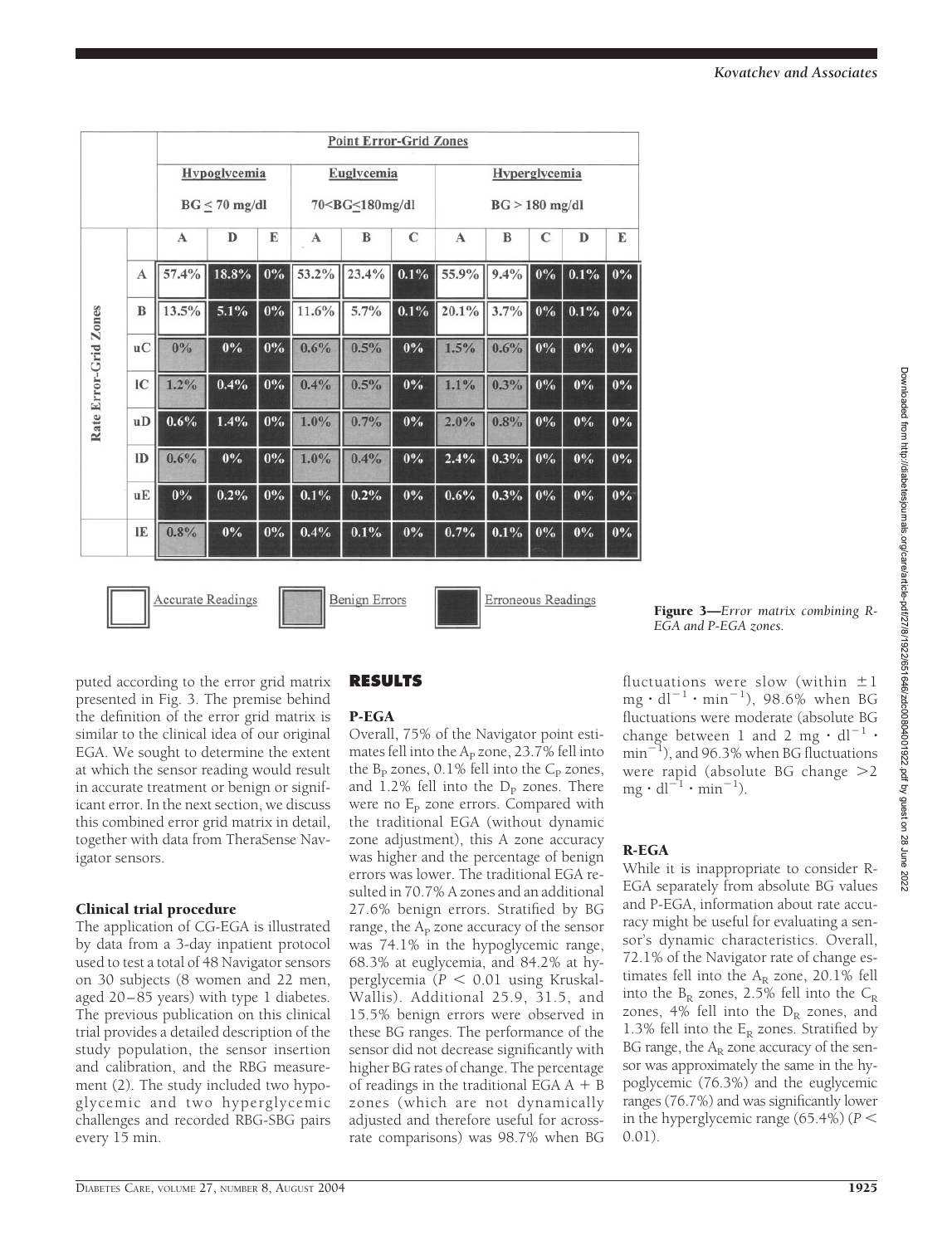|                       |              | <b>Point Error-Grid Zones</b> |         |       |                                                                                                                                      |         |       |                                   |         |             |         |       |
|-----------------------|--------------|-------------------------------|---------|-------|--------------------------------------------------------------------------------------------------------------------------------------|---------|-------|-----------------------------------|---------|-------------|---------|-------|
|                       |              | Hypoglycemia                  |         |       | Euglycemia<br>70 <bg<180mg dl<="" th=""><th colspan="5" rowspan="2">Hyperglycemia<br/><math>BG &gt; 180</math> mg/dl</th></bg<180mg> |         |       | Hyperglycemia<br>$BG > 180$ mg/dl |         |             |         |       |
|                       |              | $BG \leq 70$ mg/dl            |         |       |                                                                                                                                      |         |       |                                   |         |             |         |       |
|                       |              | $\mathbf{A}$                  | D       | E     | $\mathbf{A}$                                                                                                                         | B       | C     | $\mathbf{A}$                      | B       | $\mathbf C$ | D       | E     |
|                       | $\mathbf{A}$ | 57.4%                         | 18.8%   | $0\%$ | 53.2%                                                                                                                                | 23.4%   | 0.1%  | 55.9%                             | 9.4%    | $0\%$       | $0.1\%$ | $0\%$ |
|                       | B            | 13.5%                         | 5.1%    | $0\%$ | 11.6%                                                                                                                                | 5.7%    | 0.1%  | 20.1%                             | 3.7%    | $0\%$       | $0.1\%$ | 0%    |
| Rate Error-Grid Zones | uC           | $0\%$                         | $0\%$   | $0\%$ | $0.6\%$                                                                                                                              | $0.5\%$ | $0\%$ | 1.5%                              | 0.6%    | $0\%$       | $0\%$   | $0\%$ |
|                       | IC           | $1.2\%$                       | 0.4%    | $0\%$ | 0.4%                                                                                                                                 | 0.5%    | $0\%$ | 1.1%                              | $0.3\%$ | $0\%$       | $0\%$   | $0\%$ |
|                       | uD           | 0.6%                          | 1.4%    | $0\%$ | 1.0%                                                                                                                                 | 0.7%    | $0\%$ | 2.0%                              | 0.8%    | $0\%$       | $0\%$   | 0%    |
|                       | ID           | 0.6%                          | $0\%$   | $0\%$ | $1.0\%$                                                                                                                              | 0.4%    | $0\%$ | 2.4%                              | $0.3\%$ | $0\%$       | $0\%$   | $0\%$ |
|                       | uE           | $0\%$                         | $0.2\%$ | $0\%$ | $0.1\%$                                                                                                                              | $0.2\%$ | $0\%$ | 0.6%                              | 0.3%    | $0\%$       | $0\%$   | $0\%$ |
|                       | IE           | 0.8%                          | $0\%$   | $0\%$ | 0.4%                                                                                                                                 | $0.1\%$ | $0\%$ | 0.7%                              | 0.1%    | $0\%$       | $0\%$   | $0\%$ |

Figure 3—*Error matrix combining R-EGA and P-EGA zones.*

puted according to the error grid matrix presented in Fig. 3. The premise behind the definition of the error grid matrix is similar to the clinical idea of our original EGA. We sought to determine the extent at which the sensor reading would result in accurate treatment or benign or significant error. In the next section, we discuss this combined error grid matrix in detail, together with data from TheraSense Navigator sensors.

## Clinical trial procedure

The application of CG-EGA is illustrated by data from a 3-day inpatient protocol used to test a total of 48 Navigator sensors on 30 subjects (8 women and 22 men, aged 20–85 years) with type 1 diabetes. The previous publication on this clinical trial provides a detailed description of the study population, the sensor insertion and calibration, and the RBG measurement (2). The study included two hypoglycemic and two hyperglycemic challenges and recorded RBG-SBG pairs every 15 min.

# **RESULTS**

# P-EGA

Overall, 75% of the Navigator point estimates fell into the  $A<sub>P</sub>$  zone, 23.7% fell into the  $B_P$  zones, 0.1% fell into the  $C_P$  zones, and 1.2% fell into the  $D_p$  zones. There were no  $E<sub>P</sub>$  zone errors. Compared with the traditional EGA (without dynamic zone adjustment), this A zone accuracy was higher and the percentage of benign errors was lower. The traditional EGA resulted in 70.7% A zones and an additional 27.6% benign errors. Stratified by BG range, the  $A<sub>P</sub>$  zone accuracy of the sensor was 74.1% in the hypoglycemic range, 68.3% at euglycemia, and 84.2% at hyperglycemia (*P* 0.01 using Kruskal-Wallis). Additional 25.9, 31.5, and 15.5% benign errors were observed in these BG ranges. The performance of the sensor did not decrease significantly with higher BG rates of change. The percentage of readings in the traditional EGA  $A + B$ zones (which are not dynamically adjusted and therefore useful for acrossrate comparisons) was 98.7% when BG

fluctuations were slow (within  $\pm 1$  $mg \cdot dl^{-1} \cdot min^{-1}$ ), 98.6% when BG fluctuations were moderate (absolute BG change between 1 and 2 mg  $\cdot$  dl $^{-1}$   $\cdot$  $min^{-1}$ ), and 96.3% when BG fluctuations were rapid (absolute BG change >2  $mg \cdot dl^{-1} \cdot min^{-1}$ ).

# R-EGA

While it is inappropriate to consider R-EGA separately from absolute BG values and P-EGA, information about rate accuracy might be useful for evaluating a sensor's dynamic characteristics. Overall, 72.1% of the Navigator rate of change estimates fell into the  $A_R$  zone, 20.1% fell into the  $B_R$  zones, 2.5% fell into the  $C_R$ zones, 4% fell into the  $D_R$  zones, and 1.3% fell into the  $E_R$  zones. Stratified by BG range, the  $A_R$  zone accuracy of the sensor was approximately the same in the hypoglycemic (76.3%) and the euglycemic ranges (76.7%) and was significantly lower in the hyperglycemic range (65.4%) (*P* 0.01).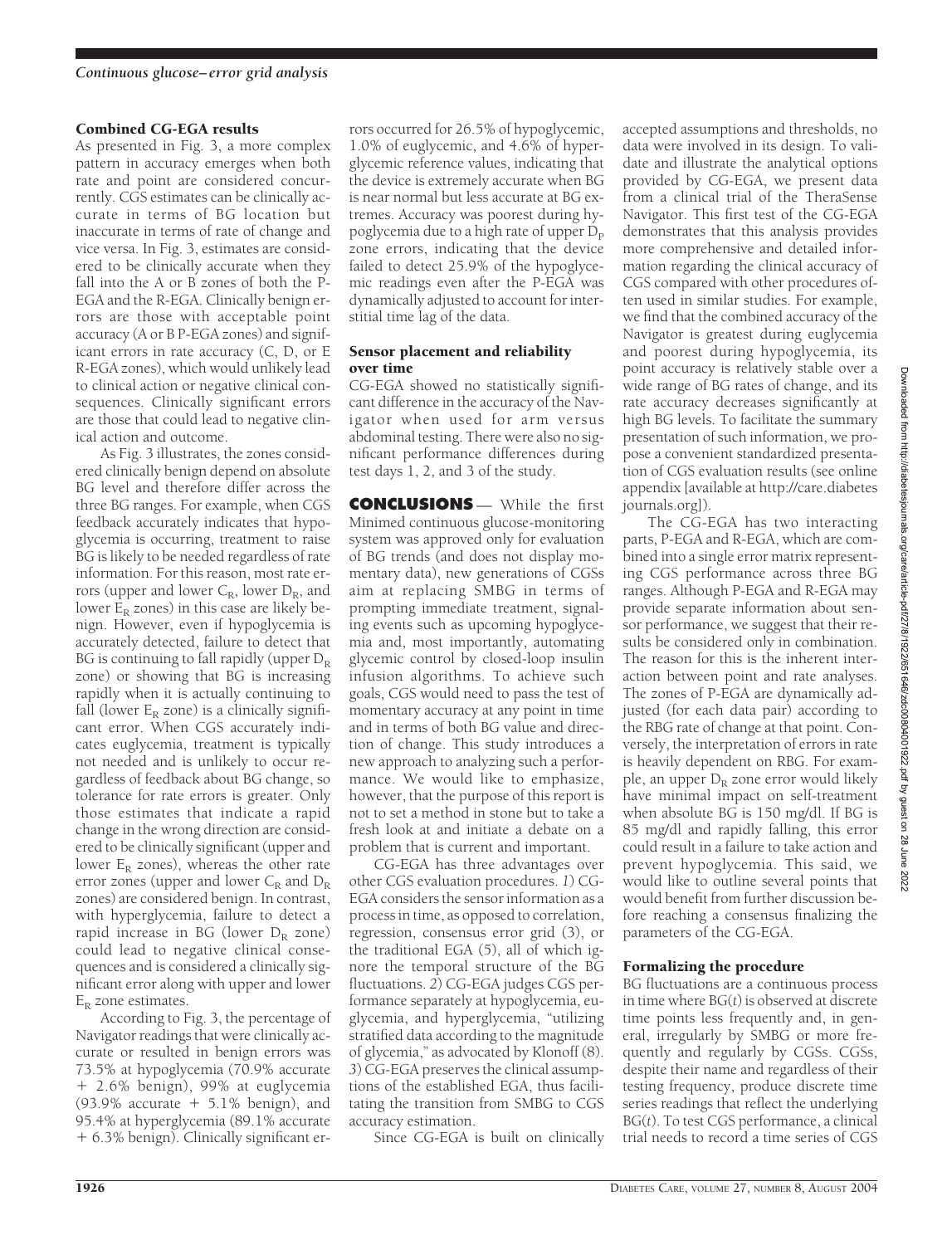## Combined CG-EGA results

As presented in Fig. 3, a more complex pattern in accuracy emerges when both rate and point are considered concurrently. CGS estimates can be clinically accurate in terms of BG location but inaccurate in terms of rate of change and vice versa. In Fig. 3, estimates are considered to be clinically accurate when they fall into the A or B zones of both the P-EGA and the R-EGA. Clinically benign errors are those with acceptable point accuracy (A or B P-EGA zones) and significant errors in rate accuracy (C, D, or E R-EGA zones), which would unlikely lead to clinical action or negative clinical consequences. Clinically significant errors are those that could lead to negative clinical action and outcome.

As Fig. 3 illustrates, the zones considered clinically benign depend on absolute BG level and therefore differ across the three BG ranges. For example, when CGS feedback accurately indicates that hypoglycemia is occurring, treatment to raise BG is likely to be needed regardless of rate information. For this reason, most rate errors (upper and lower  $C_R$ , lower  $D_R$ , and lower  $\overline{E_R}$  zones) in this case are likely benign. However, even if hypoglycemia is accurately detected, failure to detect that BG is continuing to fall rapidly (upper  $D_R$ zone) or showing that BG is increasing rapidly when it is actually continuing to fall (lower  $E_R$  zone) is a clinically significant error. When CGS accurately indicates euglycemia, treatment is typically not needed and is unlikely to occur regardless of feedback about BG change, so tolerance for rate errors is greater. Only those estimates that indicate a rapid change in the wrong direction are considered to be clinically significant (upper and lower  $E_R$  zones), whereas the other rate error zones (upper and lower  $C_R$  and  $D_R$ zones) are considered benign. In contrast, with hyperglycemia, failure to detect a rapid increase in BG (lower  $D_R$  zone) could lead to negative clinical consequences and is considered a clinically significant error along with upper and lower  $E_R$  zone estimates.

According to Fig. 3, the percentage of Navigator readings that were clinically accurate or resulted in benign errors was 73.5% at hypoglycemia (70.9% accurate 2.6% benign), 99% at euglycemia  $(93.9\%$  accurate  $+5.1\%$  benign), and 95.4% at hyperglycemia (89.1% accurate 6.3% benign). Clinically significant er-

rors occurred for 26.5% of hypoglycemic, 1.0% of euglycemic, and 4.6% of hyperglycemic reference values, indicating that the device is extremely accurate when BG is near normal but less accurate at BG extremes. Accuracy was poorest during hypoglycemia due to a high rate of upper  $D_{\rm P}$ zone errors, indicating that the device failed to detect 25.9% of the hypoglycemic readings even after the P-EGA was dynamically adjusted to account for interstitial time lag of the data.

## Sensor placement and reliability over time

CG-EGA showed no statistically significant difference in the accuracy of the Navigator when used for arm versus abdominal testing. There were also no significant performance differences during test days 1, 2, and 3 of the study.

**CONCLUSIONS** — While the first Minimed continuous glucose-monitoring system was approved only for evaluation of BG trends (and does not display momentary data), new generations of CGSs aim at replacing SMBG in terms of prompting immediate treatment, signaling events such as upcoming hypoglycemia and, most importantly, automating glycemic control by closed-loop insulin infusion algorithms. To achieve such goals, CGS would need to pass the test of momentary accuracy at any point in time and in terms of both BG value and direction of change. This study introduces a new approach to analyzing such a performance. We would like to emphasize, however, that the purpose of this report is not to set a method in stone but to take a fresh look at and initiate a debate on a problem that is current and important.

CG-EGA has three advantages over other CGS evaluation procedures. *1*) CG-EGA considers the sensor information as a process in time, as opposed to correlation, regression, consensus error grid (3), or the traditional EGA (5), all of which ignore the temporal structure of the BG fluctuations. *2*) CG-EGA judges CGS performance separately at hypoglycemia, euglycemia, and hyperglycemia, "utilizing stratified data according to the magnitude of glycemia," as advocated by Klonoff (8). *3*) CG-EGA preserves the clinical assumptions of the established EGA, thus facilitating the transition from SMBG to CGS accuracy estimation.

Since CG-EGA is built on clinically

accepted assumptions and thresholds, no data were involved in its design. To validate and illustrate the analytical options provided by CG-EGA, we present data from a clinical trial of the TheraSense Navigator. This first test of the CG-EGA demonstrates that this analysis provides more comprehensive and detailed information regarding the clinical accuracy of CGS compared with other procedures often used in similar studies. For example, we find that the combined accuracy of the Navigator is greatest during euglycemia and poorest during hypoglycemia, its point accuracy is relatively stable over a wide range of BG rates of change, and its rate accuracy decreases significantly at high BG levels. To facilitate the summary presentation of such information, we propose a convenient standardized presentation of CGS evaluation results (see online appendix [available at http://care.diabetes journals.org]).

The CG-EGA has two interacting parts, P-EGA and R-EGA, which are combined into a single error matrix representing CGS performance across three BG ranges. Although P-EGA and R-EGA may provide separate information about sensor performance, we suggest that their results be considered only in combination. The reason for this is the inherent interaction between point and rate analyses. The zones of P-EGA are dynamically adjusted (for each data pair) according to the RBG rate of change at that point. Conversely, the interpretation of errors in rate is heavily dependent on RBG. For example, an upper  $D_R$  zone error would likely have minimal impact on self-treatment when absolute BG is 150 mg/dl. If BG is 85 mg/dl and rapidly falling, this error could result in a failure to take action and prevent hypoglycemia. This said, we would like to outline several points that would benefit from further discussion before reaching a consensus finalizing the parameters of the CG-EGA.

## Formalizing the procedure

BG fluctuations are a continuous process in time where BG(*t*) is observed at discrete time points less frequently and, in general, irregularly by SMBG or more frequently and regularly by CGSs. CGSs, despite their name and regardless of their testing frequency, produce discrete time series readings that reflect the underlying BG(*t*). To test CGS performance, a clinical trial needs to record a time series of CGS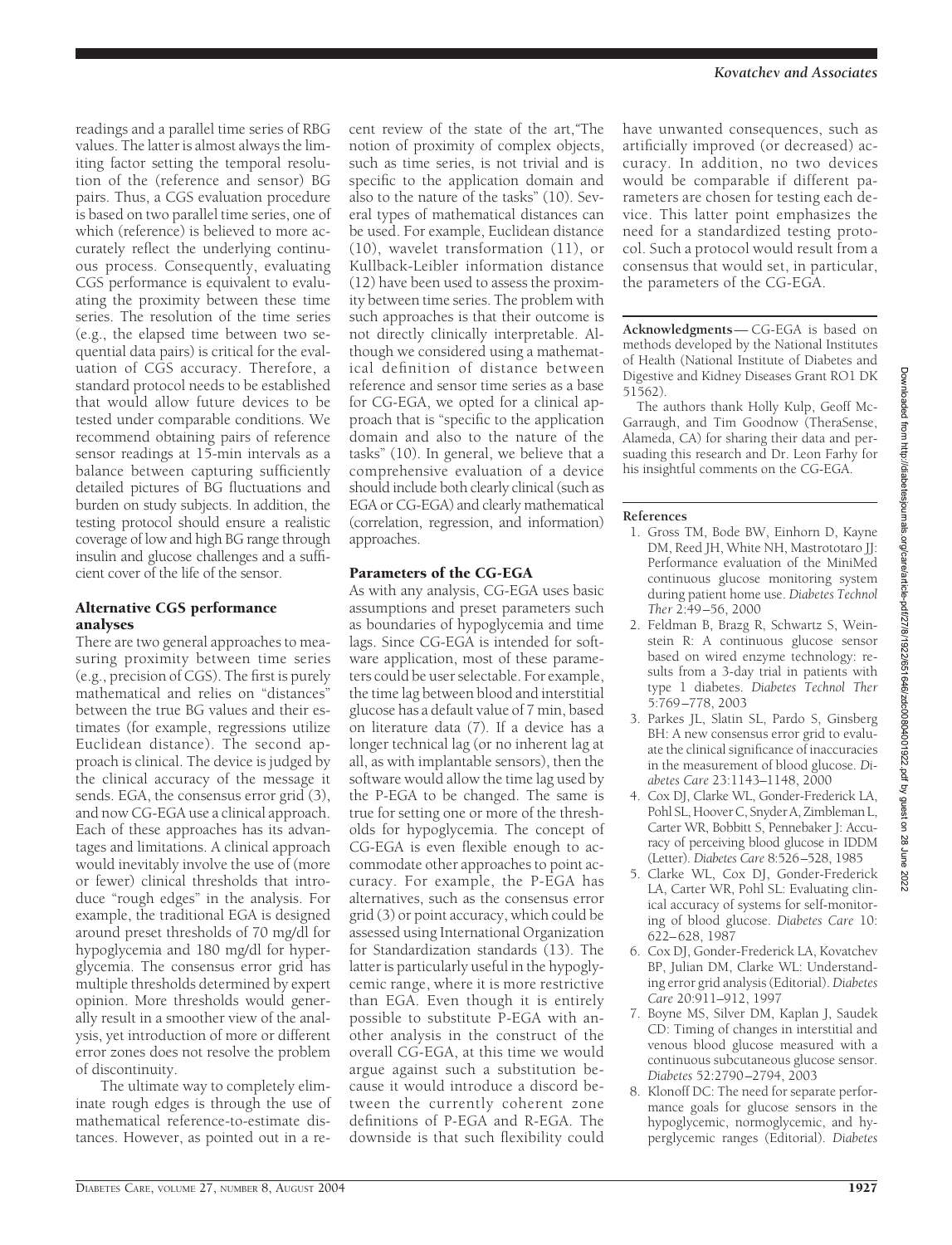readings and a parallel time series of RBG values. The latter is almost always the limiting factor setting the temporal resolution of the (reference and sensor) BG pairs. Thus, a CGS evaluation procedure is based on two parallel time series, one of which (reference) is believed to more accurately reflect the underlying continuous process. Consequently, evaluating CGS performance is equivalent to evaluating the proximity between these time series. The resolution of the time series (e.g., the elapsed time between two sequential data pairs) is critical for the evaluation of CGS accuracy. Therefore, a standard protocol needs to be established that would allow future devices to be tested under comparable conditions. We recommend obtaining pairs of reference sensor readings at 15-min intervals as a balance between capturing sufficiently detailed pictures of BG fluctuations and burden on study subjects. In addition, the testing protocol should ensure a realistic coverage of low and high BG range through insulin and glucose challenges and a sufficient cover of the life of the sensor.

## Alternative CGS performance analyses

There are two general approaches to measuring proximity between time series (e.g., precision of CGS). The first is purely mathematical and relies on "distances" between the true BG values and their estimates (for example, regressions utilize Euclidean distance). The second approach is clinical. The device is judged by the clinical accuracy of the message it sends. EGA, the consensus error grid (3), and now CG-EGA use a clinical approach. Each of these approaches has its advantages and limitations. A clinical approach would inevitably involve the use of (more or fewer) clinical thresholds that introduce "rough edges" in the analysis. For example, the traditional EGA is designed around preset thresholds of 70 mg/dl for hypoglycemia and 180 mg/dl for hyperglycemia. The consensus error grid has multiple thresholds determined by expert opinion. More thresholds would generally result in a smoother view of the analysis, yet introduction of more or different error zones does not resolve the problem of discontinuity.

The ultimate way to completely eliminate rough edges is through the use of mathematical reference-to-estimate distances. However, as pointed out in a re-

cent review of the state of the art,*"*The notion of proximity of complex objects, such as time series, is not trivial and is specific to the application domain and also to the nature of the tasks" (10). Several types of mathematical distances can be used. For example, Euclidean distance (10), wavelet transformation (11), or Kullback-Leibler information distance (12) have been used to assess the proximity between time series. The problem with such approaches is that their outcome is not directly clinically interpretable. Although we considered using a mathematical definition of distance between reference and sensor time series as a base for CG-EGA, we opted for a clinical approach that is "specific to the application domain and also to the nature of the tasks" (10). In general, we believe that a comprehensive evaluation of a device should include both clearly clinical (such as EGA or CG-EGA) and clearly mathematical (correlation, regression, and information) approaches.

## Parameters of the CG-EGA

As with any analysis, CG-EGA uses basic assumptions and preset parameters such as boundaries of hypoglycemia and time lags. Since CG-EGA is intended for software application, most of these parameters could be user selectable. For example, the time lag between blood and interstitial glucose has a default value of 7 min, based on literature data (7). If a device has a longer technical lag (or no inherent lag at all, as with implantable sensors), then the software would allow the time lag used by the P-EGA to be changed. The same is true for setting one or more of the thresholds for hypoglycemia. The concept of CG-EGA is even flexible enough to accommodate other approaches to point accuracy. For example, the P-EGA has alternatives, such as the consensus error grid (3) or point accuracy, which could be assessed using International Organization for Standardization standards (13). The latter is particularly useful in the hypoglycemic range, where it is more restrictive than EGA. Even though it is entirely possible to substitute P-EGA with another analysis in the construct of the overall CG-EGA, at this time we would argue against such a substitution because it would introduce a discord between the currently coherent zone definitions of P-EGA and R-EGA. The downside is that such flexibility could

have unwanted consequences, such as artificially improved (or decreased) accuracy. In addition, no two devices would be comparable if different parameters are chosen for testing each device. This latter point emphasizes the need for a standardized testing protocol. Such a protocol would result from a consensus that would set, in particular, the parameters of the CG-EGA.

**Acknowledgments**— CG-EGA is based on methods developed by the National Institutes of Health (National Institute of Diabetes and Digestive and Kidney Diseases Grant RO1 DK 51562).

The authors thank Holly Kulp, Geoff Mc-Garraugh, and Tim Goodnow (TheraSense, Alameda, CA) for sharing their data and persuading this research and Dr. Leon Farhy for his insightful comments on the CG-EGA.

## **References**

- 1. Gross TM, Bode BW, Einhorn D, Kayne DM, Reed JH, White NH, Mastrototaro JJ: Performance evaluation of the MiniMed continuous glucose monitoring system during patient home use. *Diabetes Technol Ther* 2:49–56, 2000
- 2. Feldman B, Brazg R, Schwartz S, Weinstein R: A continuous glucose sensor based on wired enzyme technology: results from a 3-day trial in patients with type 1 diabetes. *Diabetes Technol Ther* 5:769–778, 2003
- 3. Parkes JL, Slatin SL, Pardo S, Ginsberg BH: A new consensus error grid to evaluate the clinical significance of inaccuracies in the measurement of blood glucose. *Diabetes Care* 23:1143–1148, 2000
- 4. Cox DJ, Clarke WL, Gonder-Frederick LA, Pohl SL, Hoover C, Snyder A, Zimbleman L, Carter WR, Bobbitt S, Pennebaker J: Accuracy of perceiving blood glucose in IDDM (Letter). *Diabetes Care* 8:526–528, 1985
- 5. Clarke WL, Cox DJ, Gonder-Frederick LA, Carter WR, Pohl SL: Evaluating clinical accuracy of systems for self-monitoring of blood glucose. *Diabetes Care* 10: 622–628, 1987
- 6. Cox DJ, Gonder-Frederick LA, Kovatchev BP, Julian DM, Clarke WL: Understanding error grid analysis (Editorial). *Diabetes Care* 20:911–912, 1997
- 7. Boyne MS, Silver DM, Kaplan J, Saudek CD: Timing of changes in interstitial and venous blood glucose measured with a continuous subcutaneous glucose sensor. *Diabetes* 52:2790–2794, 2003
- 8. Klonoff DC: The need for separate performance goals for glucose sensors in the hypoglycemic, normoglycemic, and hyperglycemic ranges (Editorial). *Diabetes*